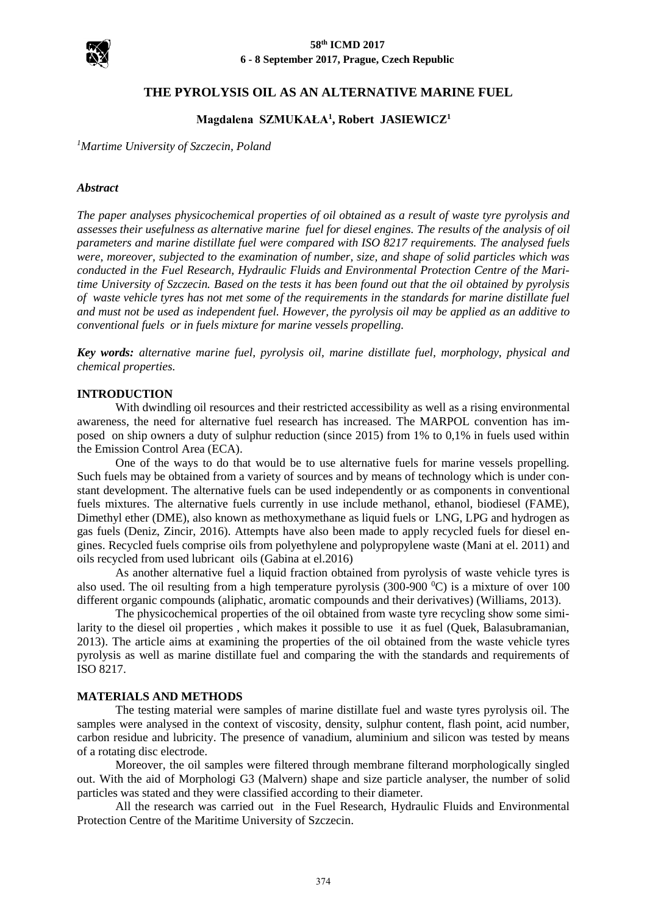

# **THE PYROLYSIS OIL AS AN ALTERNATIVE MARINE FUEL**

# **Magdalena SZMUKAŁA<sup>1</sup> , Robert JASIEWICZ<sup>1</sup>**

*<sup>1</sup>Martime University of Szczecin, Poland*

### *Abstract*

*The paper analyses physicochemical properties of oil obtained as a result of waste tyre pyrolysis and assesses their usefulness as alternative marine fuel for diesel engines. The results of the analysis of oil parameters and marine distillate fuel were compared with ISO 8217 requirements. The analysed fuels were, moreover, subjected to the examination of number, size, and shape of solid particles which was conducted in the Fuel Research, Hydraulic Fluids and Environmental Protection Centre of the Maritime University of Szczecin. Based on the tests it has been found out that the oil obtained by pyrolysis of waste vehicle tyres has not met some of the requirements in the standards for marine distillate fuel and must not be used as independent fuel. However, the pyrolysis oil may be applied as an additive to conventional fuels or in fuels mixture for marine vessels propelling.*

*Key words: alternative marine fuel, pyrolysis oil, marine distillate fuel, morphology, physical and chemical properties.*

### **INTRODUCTION**

With dwindling oil resources and their restricted accessibility as well as a rising environmental awareness, the need for alternative fuel research has increased. The MARPOL convention has imposed on ship owners a duty of sulphur reduction (since 2015) from 1% to 0,1% in fuels used within the Emission Control Area (ECA).

One of the ways to do that would be to use alternative fuels for marine vessels propelling. Such fuels may be obtained from a variety of sources and by means of technology which is under constant development. The alternative fuels can be used independently or as components in conventional fuels mixtures. The alternative fuels currently in use include methanol, ethanol, biodiesel (FAME), Dimethyl ether (DME), also known as methoxymethane as liquid fuels or LNG, LPG and hydrogen as gas fuels (Deniz, Zincir, 2016). Attempts have also been made to apply recycled fuels for diesel engines. Recycled fuels comprise oils from polyethylene and polypropylene waste (Mani at el. 2011) and oils recycled from used lubricant oils (Gabina at el.2016)

As another alternative fuel a liquid fraction obtained from pyrolysis of waste vehicle tyres is also used. The oil resulting from a high temperature pyrolysis (300-900  $^{\circ}$ C) is a mixture of over 100 different organic compounds (aliphatic, aromatic compounds and their derivatives) (Williams, 2013).

The physicochemical properties of the oil obtained from waste tyre recycling show some similarity to the diesel oil properties , which makes it possible to use it as fuel (Quek, Balasubramanian, 2013). The article aims at examining the properties of the oil obtained from the waste vehicle tyres pyrolysis as well as marine distillate fuel and comparing the with the standards and requirements of ISO 8217.

### **MATERIALS AND METHODS**

The testing material were samples of marine distillate fuel and waste tyres pyrolysis oil. The samples were analysed in the context of viscosity, density, sulphur content, flash point, acid number, carbon residue and lubricity. The presence of vanadium, aluminium and silicon was tested by means of a rotating disc electrode.

Moreover, the oil samples were filtered through membrane filterand morphologically singled out. With the aid of Morphologi G3 (Malvern) shape and size particle analyser, the number of solid particles was stated and they were classified according to their diameter.

All the research was carried out in the Fuel Research, Hydraulic Fluids and Environmental Protection Centre of the Maritime University of Szczecin.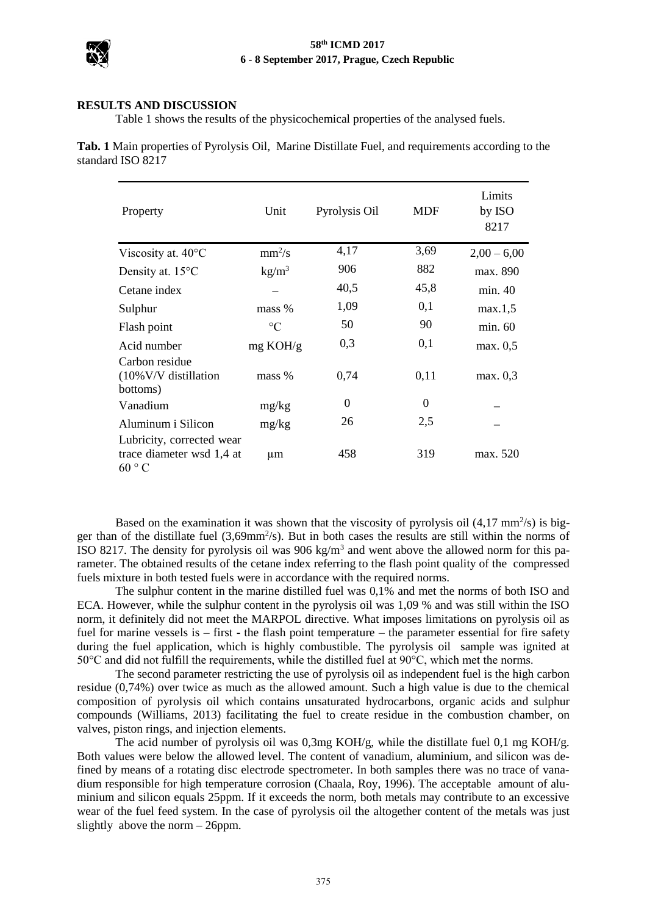

### **RESULTS AND DISCUSSION**

Table 1 shows the results of the physicochemical properties of the analysed fuels.

**Tab. 1** Main properties of Pyrolysis Oil, Marine Distillate Fuel, and requirements according to the standard ISO 8217

| Property                                                        | Unit               | Pyrolysis Oil | <b>MDF</b> | Limits<br>by ISO<br>8217 |
|-----------------------------------------------------------------|--------------------|---------------|------------|--------------------------|
| Viscosity at. 40°C                                              | $mm^2/s$           | 4,17          | 3,69       | $2,00 - 6,00$            |
| Density at. $15^{\circ}$ C                                      | kg/m <sup>3</sup>  | 906           | 882        | max. 890                 |
| Cetane index                                                    |                    | 40,5          | 45,8       | min.40                   |
| Sulphur                                                         | mass %             | 1,09          | 0,1        | max.1,5                  |
| Flash point                                                     | $\rm ^{\circ}C$    | 50            | 90         | min. 60                  |
| Acid number                                                     | $mg \text{ KOH/g}$ | 0,3           | 0,1        | max. 0,5                 |
| Carbon residue<br>$(10\%$ V/V distillation<br>bottoms)          | mass %             | 0,74          | 0,11       | max. 0,3                 |
| Vanadium                                                        | mg/kg              | $\Omega$      | $\theta$   |                          |
| Aluminum i Silicon                                              | mg/kg              | 26            | 2,5        |                          |
| Lubricity, corrected wear<br>trace diameter wsd 1,4 at<br>60 °C | μm                 | 458           | 319        | max. 520                 |

Based on the examination it was shown that the viscosity of pyrolysis oil  $(4.17 \text{ mm}^2/\text{s})$  is bigger than of the distillate fuel (3,69mm<sup>2</sup>/s). But in both cases the results are still within the norms of ISO 8217. The density for pyrolysis oil was 906 kg/m<sup>3</sup> and went above the allowed norm for this parameter. The obtained results of the cetane index referring to the flash point quality of the compressed fuels mixture in both tested fuels were in accordance with the required norms.

The sulphur content in the marine distilled fuel was 0,1% and met the norms of both ISO and ECA. However, while the sulphur content in the pyrolysis oil was 1,09 % and was still within the ISO norm, it definitely did not meet the MARPOL directive. What imposes limitations on pyrolysis oil as fuel for marine vessels is – first - the flash point temperature – the parameter essential for fire safety during the fuel application, which is highly combustible. The pyrolysis oil sample was ignited at 50°C and did not fulfill the requirements, while the distilled fuel at 90°C, which met the norms.

The second parameter restricting the use of pyrolysis oil as independent fuel is the high carbon residue (0,74%) over twice as much as the allowed amount. Such a high value is due to the chemical composition of pyrolysis oil which contains unsaturated hydrocarbons, organic acids and sulphur compounds (Williams, 2013) facilitating the fuel to create residue in the combustion chamber, on valves, piston rings, and injection elements.

The acid number of pyrolysis oil was 0,3mg KOH/g, while the distillate fuel 0,1 mg KOH/g. Both values were below the allowed level. The content of vanadium, aluminium, and silicon was defined by means of a rotating disc electrode spectrometer. In both samples there was no trace of vanadium responsible for high temperature corrosion (Chaala, Roy, 1996). The acceptable amount of aluminium and silicon equals 25ppm. If it exceeds the norm, both metals may contribute to an excessive wear of the fuel feed system. In the case of pyrolysis oil the altogether content of the metals was just slightly above the norm – 26ppm.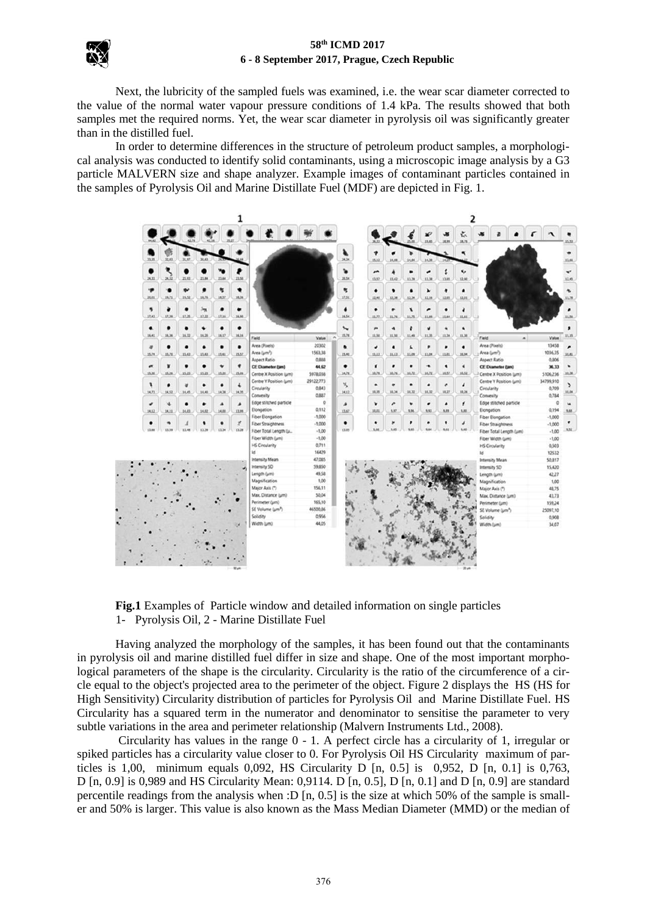

Next, the lubricity of the sampled fuels was examined, i.e. the wear scar diameter corrected to the value of the normal water vapour pressure conditions of 1.4 kPa. The results showed that both samples met the required norms. Yet, the wear scar diameter in pyrolysis oil was significantly greater than in the distilled fuel.

In order to determine differences in the structure of petroleum product samples, a morphological analysis was conducted to identify solid contaminants, using a microscopic image analysis by a G3 particle MALVERN size and shape analyzer. Example images of contaminant particles contained in the samples of Pyrolysis Oil and Marine Distillate Fuel (MDF) are depicted in Fig. 1.



**Fig.1** Examples of Particle window and detailed information on single particles 1- Pyrolysis Oil, 2 - Marine Distillate Fuel

Having analyzed the morphology of the samples, it has been found out that the contaminants in pyrolysis oil and marine distilled fuel differ in size and shape. One of the most important morphological parameters of the shape is the circularity. Circularity is the ratio of the circumference of a circle equal to the object's projected area to the perimeter of the object. Figure 2 displays the HS (HS for High Sensitivity) Circularity distribution of particles for Pyrolysis Oil and Marine Distillate Fuel. HS Circularity has a squared term in the numerator and denominator to sensitise the parameter to very subtle variations in the area and perimeter relationship (Malvern Instruments Ltd., 2008).

Circularity has values in the range 0 - 1. A perfect circle has a circularity of 1, irregular or spiked particles has a circularity value closer to 0. For Pyrolysis Oil HS Circularity maximum of particles is 1,00, minimum equals 0,092, HS Circularity D  $[n, 0.5]$  is 0,952, D  $[n, 0.1]$  is 0,763, D [n, 0.9] is 0,989 and HS Circularity Mean: 0,9114. D [n, 0.5], D [n, 0.1] and D [n, 0.9] are standard percentile readings from the analysis when :D  $[n, 0.5]$  is the size at which 50% of the sample is smaller and 50% is larger. This value is also known as the Mass Median Diameter (MMD) or the median of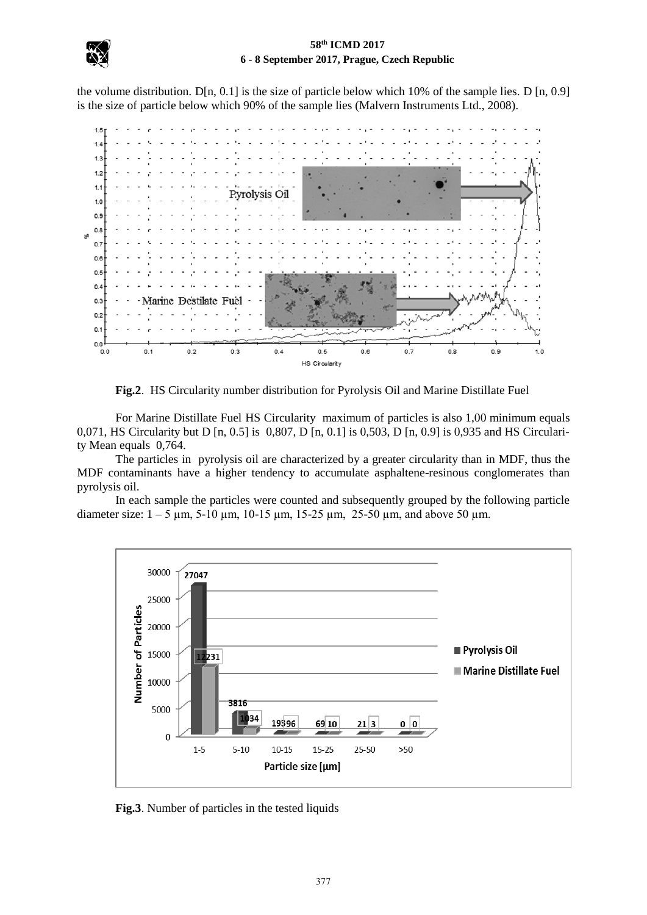the volume distribution. D[n, 0.1] is the size of particle below which 10% of the sample lies. D [n, 0.9] is the size of particle below which 90% of the sample lies (Malvern Instruments Ltd., 2008).



**Fig.2**. HS Circularity number distribution for Pyrolysis Oil and Marine Distillate Fuel

For Marine Distillate Fuel HS Circularity maximum of particles is also 1,00 minimum equals 0,071, HS Circularity but D [n, 0.5] is 0,807, D [n, 0.1] is 0,503, D [n, 0.9] is 0,935 and HS Circularity Mean equals 0,764.

The particles in pyrolysis oil are characterized by a greater circularity than in MDF, thus the MDF contaminants have a higher tendency to accumulate asphaltene-resinous conglomerates than pyrolysis oil.

In each sample the particles were counted and subsequently grouped by the following particle diameter size:  $1 - 5 \mu m$ ,  $5 - 10 \mu m$ ,  $10 - 15 \mu m$ ,  $15 - 25 \mu m$ ,  $25 - 50 \mu m$ , and above 50  $\mu m$ .



**Fig.3**. Number of particles in the tested liquids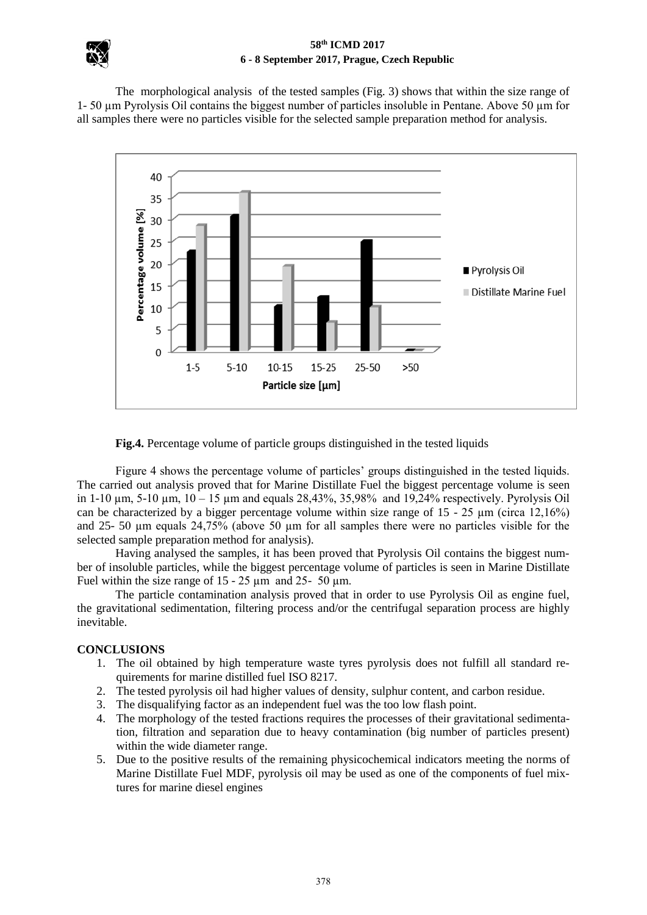The morphological analysis of the tested samples (Fig. 3) shows that within the size range of 1- 50 µm Pyrolysis Oil contains the biggest number of particles insoluble in Pentane. Above 50 µm for all samples there were no particles visible for the selected sample preparation method for analysis.



**Fig.4.** Percentage volume of particle groups distinguished in the tested liquids

Figure 4 shows the percentage volume of particles' groups distinguished in the tested liquids. The carried out analysis proved that for Marine Distillate Fuel the biggest percentage volume is seen in 1-10  $\mu$ m, 5-10  $\mu$ m, 10 – 15  $\mu$ m and equals 28,43%, 35,98% and 19,24% respectively. Pyrolysis Oil can be characterized by a bigger percentage volume within size range of  $15 - 25 \mu m$  (circa  $12,16\%$ ) and 25- 50 µm equals 24,75% (above 50 µm for all samples there were no particles visible for the selected sample preparation method for analysis).

Having analysed the samples, it has been proved that Pyrolysis Oil contains the biggest number of insoluble particles, while the biggest percentage volume of particles is seen in Marine Distillate Fuel within the size range of  $15 - 25 \mu m$  and  $25 - 50 \mu m$ .

The particle contamination analysis proved that in order to use Pyrolysis Oil as engine fuel, the gravitational sedimentation, filtering process and/or the centrifugal separation process are highly inevitable.

# **CONCLUSIONS**

- 1. The oil obtained by high temperature waste tyres pyrolysis does not fulfill all standard requirements for marine distilled fuel ISO 8217.
- 2. The tested pyrolysis oil had higher values of density, sulphur content, and carbon residue.
- 3. The disqualifying factor as an independent fuel was the too low flash point.
- 4. The morphology of the tested fractions requires the processes of their gravitational sedimentation, filtration and separation due to heavy contamination (big number of particles present) within the wide diameter range.
- 5. Due to the positive results of the remaining physicochemical indicators meeting the norms of Marine Distillate Fuel MDF, pyrolysis oil may be used as one of the components of fuel mixtures for marine diesel engines